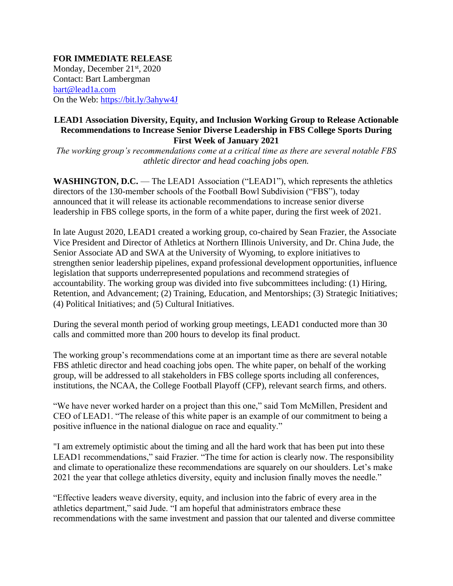**FOR IMMEDIATE RELEASE** Monday, December 21<sup>st</sup>, 2020 Contact: Bart Lambergman [bart@lead1a.com](mailto:bart@lead1a.com) On the Web: <https://bit.ly/3ahyw4J>

## **LEAD1 Association Diversity, Equity, and Inclusion Working Group to Release Actionable Recommendations to Increase Senior Diverse Leadership in FBS College Sports During First Week of January 2021**

*The working group's recommendations come at a critical time as there are several notable FBS athletic director and head coaching jobs open.*

**WASHINGTON, D.C.** — The LEAD1 Association ("LEAD1"), which represents the athletics directors of the 130-member schools of the Football Bowl Subdivision ("FBS"), today announced that it will release its actionable recommendations to increase senior diverse leadership in FBS college sports, in the form of a white paper, during the first week of 2021.

In late August 2020, LEAD1 created a working group, co-chaired by Sean Frazier, the Associate Vice President and Director of Athletics at Northern Illinois University, and Dr. China Jude, the Senior Associate AD and SWA at the University of Wyoming, to explore initiatives to strengthen senior leadership pipelines, expand professional development opportunities, influence legislation that supports underrepresented populations and recommend strategies of accountability. The working group was divided into five subcommittees including: (1) Hiring, Retention, and Advancement; (2) Training, Education, and Mentorships; (3) Strategic Initiatives; (4) Political Initiatives; and (5) Cultural Initiatives.

During the several month period of working group meetings, LEAD1 conducted more than 30 calls and committed more than 200 hours to develop its final product.

The working group's recommendations come at an important time as there are several notable FBS athletic director and head coaching jobs open. The white paper, on behalf of the working group, will be addressed to all stakeholders in FBS college sports including all conferences, institutions, the NCAA, the College Football Playoff (CFP), relevant search firms, and others.

"We have never worked harder on a project than this one," said Tom McMillen, President and CEO of LEAD1. "The release of this white paper is an example of our commitment to being a positive influence in the national dialogue on race and equality."

"I am extremely optimistic about the timing and all the hard work that has been put into these LEAD1 recommendations," said Frazier. "The time for action is clearly now. The responsibility and climate to operationalize these recommendations are squarely on our shoulders. Let's make 2021 the year that college athletics diversity, equity and inclusion finally moves the needle."

"Effective leaders weave diversity, equity, and inclusion into the fabric of every area in the athletics department," said Jude. "I am hopeful that administrators embrace these recommendations with the same investment and passion that our talented and diverse committee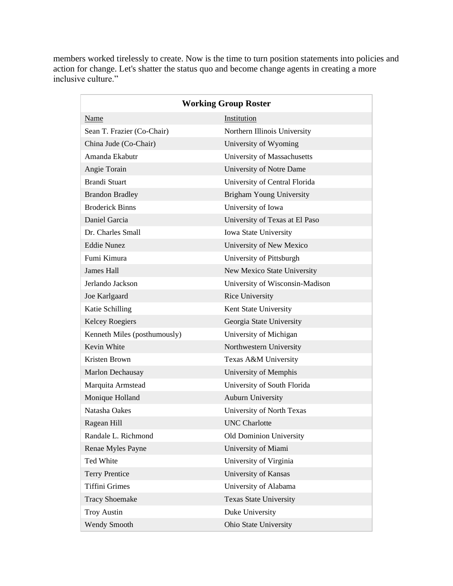members worked tirelessly to create. Now is the time to turn position statements into policies and action for change. Let's shatter the status quo and become change agents in creating a more inclusive culture."

| <b>Working Group Roster</b>  |                                 |
|------------------------------|---------------------------------|
| Name                         | Institution                     |
| Sean T. Frazier (Co-Chair)   | Northern Illinois University    |
| China Jude (Co-Chair)        | University of Wyoming           |
| Amanda Ekabutr               | University of Massachusetts     |
| Angie Torain                 | University of Notre Dame        |
| <b>Brandi Stuart</b>         | University of Central Florida   |
| <b>Brandon Bradley</b>       | <b>Brigham Young University</b> |
| <b>Broderick Binns</b>       | University of Iowa              |
| Daniel Garcia                | University of Texas at El Paso  |
| Dr. Charles Small            | Iowa State University           |
| <b>Eddie Nunez</b>           | University of New Mexico        |
| Fumi Kimura                  | University of Pittsburgh        |
| <b>James Hall</b>            | New Mexico State University     |
| Jerlando Jackson             | University of Wisconsin-Madison |
| Joe Karlgaard                | <b>Rice University</b>          |
| Katie Schilling              | Kent State University           |
| <b>Kelcey Roegiers</b>       | Georgia State University        |
| Kenneth Miles (posthumously) | University of Michigan          |
| Kevin White                  | Northwestern University         |
| Kristen Brown                | Texas A&M University            |
| Marlon Dechausay             | University of Memphis           |
| Marquita Armstead            | University of South Florida     |
| Monique Holland              | <b>Auburn University</b>        |
| Natasha Oakes                | University of North Texas       |
| Ragean Hill                  | <b>UNC</b> Charlotte            |
| Randale L. Richmond          | Old Dominion University         |
| Renae Myles Payne            | University of Miami             |
| Ted White                    | University of Virginia          |
| <b>Terry Prentice</b>        | University of Kansas            |
| <b>Tiffini Grimes</b>        | University of Alabama           |
| <b>Tracy Shoemake</b>        | <b>Texas State University</b>   |
| <b>Troy Austin</b>           | Duke University                 |
| <b>Wendy Smooth</b>          | Ohio State University           |